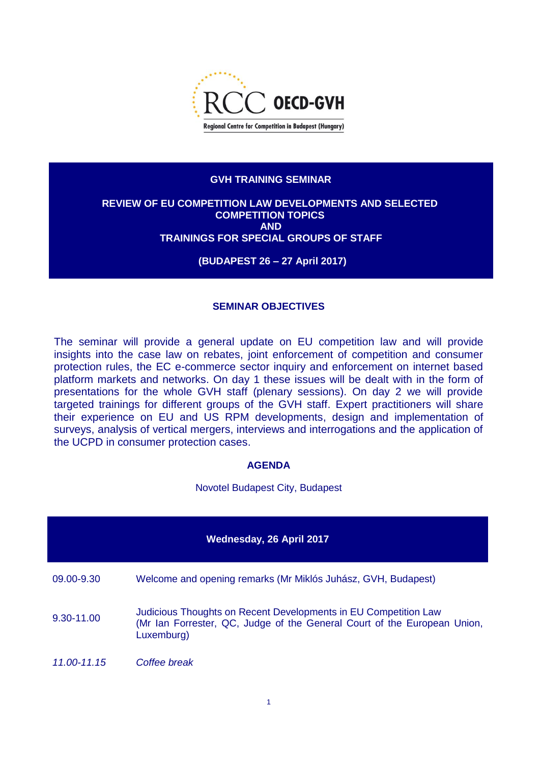

## **GVH TRAINING SEMINAR**

## **REVIEW OF EU COMPETITION LAW DEVELOPMENTS AND SELECTED COMPETITION TOPICS AND TRAININGS FOR SPECIAL GROUPS OF STAFF**

**(BUDAPEST 26 – 27 April 2017)**

## **SEMINAR OBJECTIVES**

The seminar will provide a general update on EU competition law and will provide insights into the case law on rebates, joint enforcement of competition and consumer protection rules, the EC e-commerce sector inquiry and enforcement on internet based platform markets and networks. On day 1 these issues will be dealt with in the form of presentations for the whole GVH staff (plenary sessions). On day 2 we will provide targeted trainings for different groups of the GVH staff. Expert practitioners will share their experience on EU and US RPM developments, design and implementation of surveys, analysis of vertical mergers, interviews and interrogations and the application of the UCPD in consumer protection cases.

## **AGENDA**

Novotel Budapest City, Budapest

| Wednesday, 26 April 2017 |                                                                                                                                                           |  |  |  |  |  |
|--------------------------|-----------------------------------------------------------------------------------------------------------------------------------------------------------|--|--|--|--|--|
| 09.00-9.30               | Welcome and opening remarks (Mr Miklós Juhász, GVH, Budapest)                                                                                             |  |  |  |  |  |
| 9.30-11.00               | Judicious Thoughts on Recent Developments in EU Competition Law<br>(Mr Ian Forrester, QC, Judge of the General Court of the European Union,<br>Luxemburg) |  |  |  |  |  |
| 11.00-11.15              | Coffee break                                                                                                                                              |  |  |  |  |  |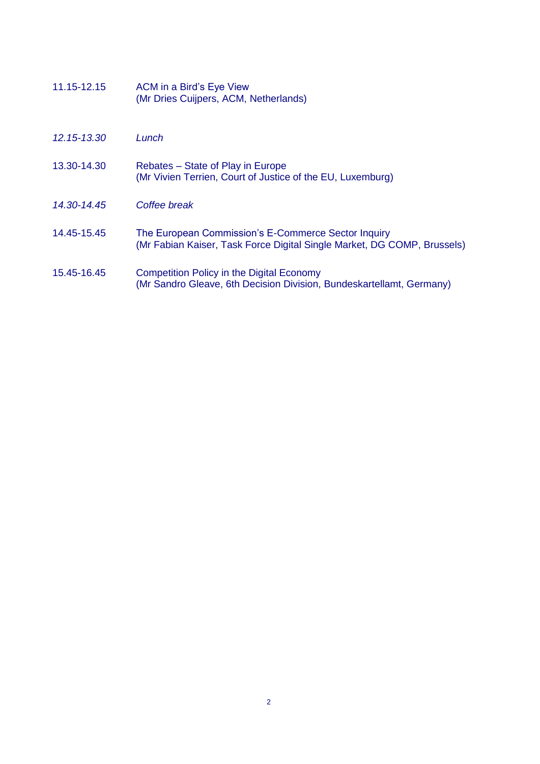- 11.15-12.15 ACM in a Bird's Eye View (Mr Dries Cuijpers, ACM, Netherlands)
- *12.15-13.30 Lunch*
- 13.30-14.30 Rebates State of Play in Europe (Mr Vivien Terrien, Court of Justice of the EU, Luxemburg)
- *14.30-14.45 Coffee break*
- 14.45-15.45 The European Commission's E-Commerce Sector Inquiry (Mr Fabian Kaiser, Task Force Digital Single Market, DG COMP, Brussels)
- 15.45-16.45 Competition Policy in the Digital Economy (Mr Sandro Gleave, 6th Decision Division, Bundeskartellamt, Germany)